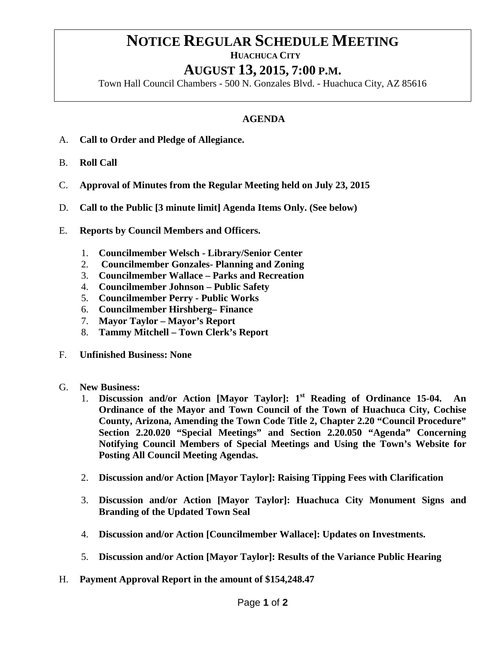## **NOTICE REGULAR SCHEDULE MEETING**<br>HUACHUCA CITY

## **AUGUST 13, 2015, 7:00 P.M.**

Town Hall Council Chambers - 500 N. Gonzales Blvd. - Huachuca City, AZ 85616

## **AGENDA**

- A. **Call to Order and Pledge of Allegiance.**
- B. **Roll Call**
- C. **Approval of Minutes from the Regular Meeting held on July 23, 2015**
- D. **Call to the Public [3 minute limit] Agenda Items Only. (See below)**
- E. **Reports by Council Members and Officers.**
	- 1. **Councilmember Welsch - Library/Senior Center**
	- 2. **Councilmember Gonzales- Planning and Zoning**
	- 3. **Councilmember Wallace – Parks and Recreation**
	- 4. **Councilmember Johnson – Public Safety**
	- 5. **Councilmember Perry - Public Works**
	- 6. **Councilmember Hirshberg– Finance**
	- 7. **Mayor Taylor – Mayor's Report**
	- 8. **Tammy Mitchell – Town Clerk's Report**
- F. **Unfinished Business: None**
- G. **New Business:**
	- 1. **Discussion and/or Action [Mayor Taylor]: 1st Reading of Ordinance 15-04. An Ordinance of the Mayor and Town Council of the Town of Huachuca City, Cochise County, Arizona, Amending the Town Code Title 2, Chapter 2.20 "Council Procedure" Section 2.20.020 "Special Meetings" and Section 2.20.050 "Agenda" Concerning Notifying Council Members of Special Meetings and Using the Town's Website for Posting All Council Meeting Agendas.**
	- 2. **Discussion and/or Action [Mayor Taylor]: Raising Tipping Fees with Clarification**
	- 3. **Discussion and/or Action [Mayor Taylor]: Huachuca City Monument Signs and Branding of the Updated Town Seal**
	- 4. **Discussion and/or Action [Councilmember Wallace]: Updates on Investments.**
	- 5. **Discussion and/or Action [Mayor Taylor]: Results of the Variance Public Hearing**
- H. **Payment Approval Report in the amount of \$154,248.47**